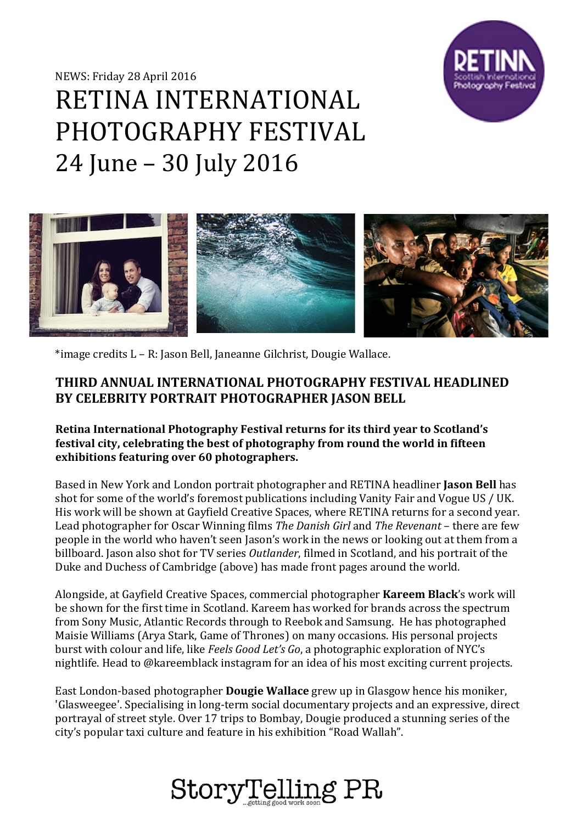NEWS: Friday 28 April 2016



# RETINA INTERNATIONAL PHOTOGRAPHY FESTIVAL 24 June – 30 July 2016



\*image credits L – R: Jason Bell, Janeanne Gilchrist, Dougie Wallace.

# **THIRD ANNUAL INTERNATIONAL PHOTOGRAPHY FESTIVAL HEADLINED BY CELEBRITY PORTRAIT PHOTOGRAPHER JASON BELL**

**Retina International Photography Festival returns for its third year to Scotland's festival city, celebrating the best of photography from round the world in fifteen exhibitions featuring over 60 photographers.** 

Based in New York and London portrait photographer and RETINA headliner **Jason Bell** has shot for some of the world's foremost publications including Vanity Fair and Vogue US / UK. His work will be shown at Gayfield Creative Spaces, where RETINA returns for a second year. Lead photographer for Oscar Winning films *The Danish Girl* and *The Revenant* – there are few people in the world who haven't seen Jason's work in the news or looking out at them from a billboard. Jason also shot for TV series *Outlander*, filmed in Scotland, and his portrait of the Duke and Duchess of Cambridge (above) has made front pages around the world.

Alongside, at Gayfield Creative Spaces, commercial photographer **Kareem Black**'s work will be shown for the first time in Scotland. Kareem has worked for brands across the spectrum from Sony Music, Atlantic Records through to Reebok and Samsung. He has photographed Maisie Williams (Arya Stark, Game of Thrones) on many occasions. His personal projects burst with colour and life, like *Feels Good Let's Go*, a photographic exploration of NYC's nightlife. Head to @kareemblack instagram for an idea of his most exciting current projects.

East London-based photographer **Dougie Wallace** grew up in Glasgow hence his moniker, 'Glasweegee'. Specialising in long-term social documentary projects and an expressive, direct portrayal of street style. Over 17 trips to Bombay, Dougie produced a stunning series of the city's popular taxi culture and feature in his exhibition "Road Wallah".

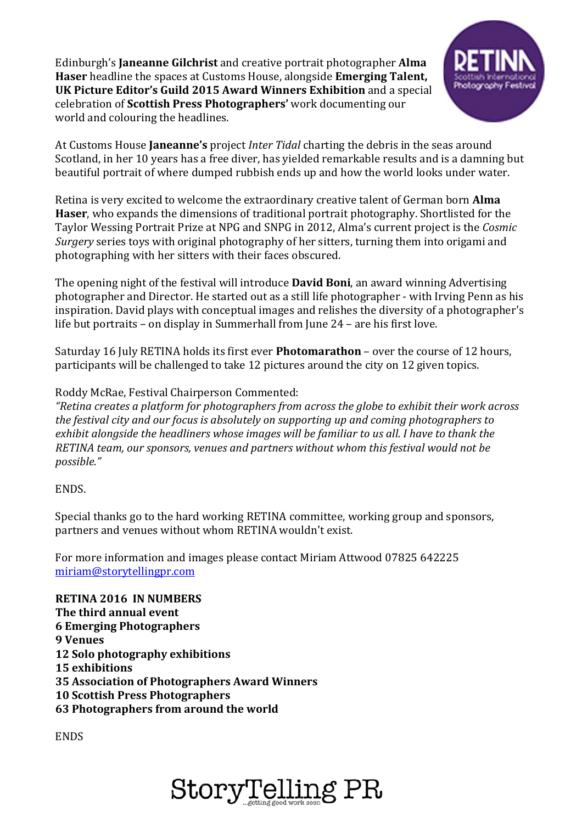Edinburgh's **Janeanne Gilchrist** and creative portrait photographer **Alma Haser** headline the spaces at Customs House, alongside **Emerging Talent, UK Picture Editor's Guild 2015 Award Winners Exhibition** and a special celebration of **Scottish Press Photographers'** work documenting our world and colouring the headlines.



At Customs House **Janeanne's** project *Inter Tidal* charting the debris in the seas around Scotland, in her 10 years has a free diver, has yielded remarkable results and is a damning but beautiful portrait of where dumped rubbish ends up and how the world looks under water.

Retina is very excited to welcome the extraordinary creative talent of German born **Alma Haser**, who expands the dimensions of traditional portrait photography. Shortlisted for the Taylor Wessing Portrait Prize at NPG and SNPG in 2012, Alma's current project is the *Cosmic Surgery* series toys with original photography of her sitters, turning them into origami and photographing with her sitters with their faces obscured.

The opening night of the festival will introduce **David Boni**, an award winning Advertising photographer and Director. He started out as a still life photographer - with Irving Penn as his inspiration. David plays with conceptual images and relishes the diversity of a photographer's life but portraits – on display in Summerhall from June 24 – are his first love.

Saturday 16 July RETINA holds its first ever **Photomarathon** – over the course of 12 hours, participants will be challenged to take 12 pictures around the city on 12 given topics.

Roddy McRae, Festival Chairperson Commented:

*"Retina creates a platform for photographers from across the globe to exhibit their work across the festival city and our focus is absolutely on supporting up and coming photographers to exhibit alongside the headliners whose images will be familiar to us all. I have to thank the RETINA team, our sponsors, venues and partners without whom this festival would not be possible."* 

#### ENDS.

Special thanks go to the hard working RETINA committee, working group and sponsors, partners and venues without whom RETINA wouldn't exist.

For more information and images please contact Miriam Attwood 07825 642225 [miriam@storytellingpr.com](mailto:miriam@storytellingpr.com)

**RETINA 2016 IN NUMBERS The third annual event 6 Emerging Photographers 9 Venues 12 Solo photography exhibitions 15 exhibitions 35 Association of Photographers Award Winners 10 Scottish Press Photographers 63 Photographers from around the world**

**ENDS**